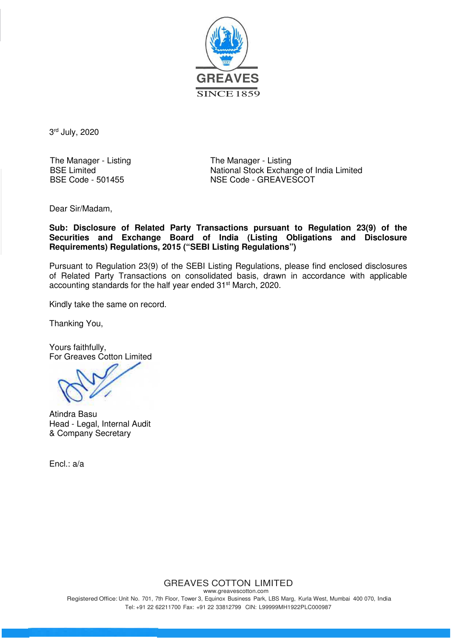

3<sup>rd</sup> July, 2020

The Manager - Listing BSE Limited BSE Code - 501455

The Manager - Listing National Stock Exchange of India Limited NSE Code - GREAVESCOT

Dear Sir/Madam,

**Sub: Disclosure of Related Party Transactions pursuant to Regulation 23(9) of the Securities and Exchange Board of India (Listing Obligations and Disclosure Requirements) Regulations, 2015 ("SEBI Listing Regulations")**

Pursuant to Regulation 23(9) of the SEBI Listing Regulations, please find enclosed disclosures of Related Party Transactions on consolidated basis, drawn in accordance with applicable accounting standards for the half year ended 31<sup>st</sup> March, 2020.

Kindly take the same on record.

Thanking You,

Yours faithfully, For Greaves Cotton Limited

Atindra Basu Head - Legal, Internal Audit & Company Secretary

Encl.: a/a

## GREAVES COTTON LIMITED

www.greavescotton.com Registered Office: Unit No. 701, 7th Floor, Tower 3, Equinox Business Park, LBS Marg, Kurla West, Mumbai 400 070, India Tel: +91 22 62211700 Fax: +91 22 33812799 CIN: L99999MH1922PLC000987